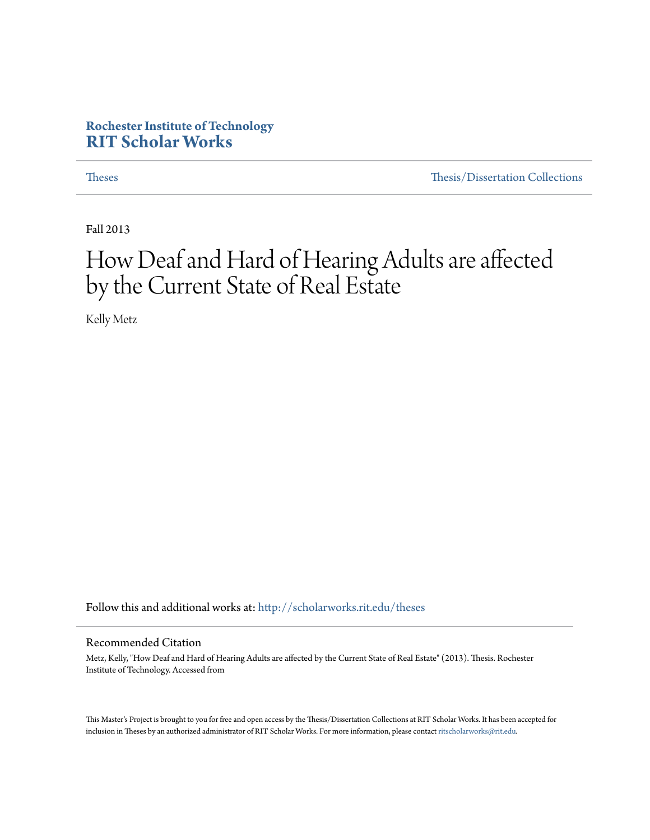# **Rochester Institute of Technology [RIT Scholar Works](http://scholarworks.rit.edu?utm_source=scholarworks.rit.edu%2Ftheses%2F7541&utm_medium=PDF&utm_campaign=PDFCoverPages)**

[Theses](http://scholarworks.rit.edu/theses?utm_source=scholarworks.rit.edu%2Ftheses%2F7541&utm_medium=PDF&utm_campaign=PDFCoverPages) [Thesis/Dissertation Collections](http://scholarworks.rit.edu/etd_collections?utm_source=scholarworks.rit.edu%2Ftheses%2F7541&utm_medium=PDF&utm_campaign=PDFCoverPages)

Fall 2013

# How Deaf and Hard of Hearing Adults are affected by the Current State of Real Estate

Kelly Metz

Follow this and additional works at: [http://scholarworks.rit.edu/theses](http://scholarworks.rit.edu/theses?utm_source=scholarworks.rit.edu%2Ftheses%2F7541&utm_medium=PDF&utm_campaign=PDFCoverPages)

#### Recommended Citation

Metz, Kelly, "How Deaf and Hard of Hearing Adults are affected by the Current State of Real Estate" (2013). Thesis. Rochester Institute of Technology. Accessed from

This Master's Project is brought to you for free and open access by the Thesis/Dissertation Collections at RIT Scholar Works. It has been accepted for inclusion in Theses by an authorized administrator of RIT Scholar Works. For more information, please contact [ritscholarworks@rit.edu](mailto:ritscholarworks@rit.edu).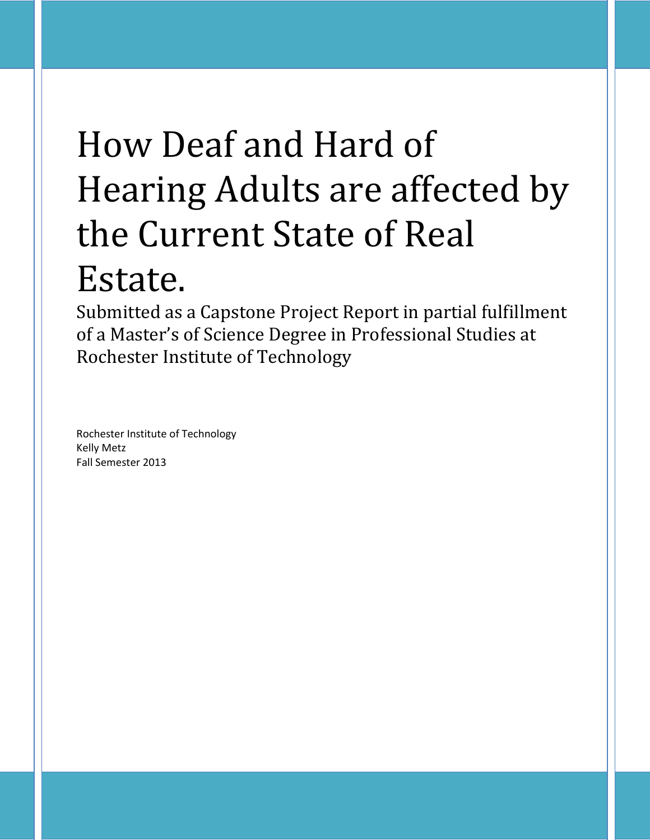# How Deaf and Hard of Hearing Adults are affected by the Current State of Real Estate.

Submitted as a Capstone Project Report in partial fulfillment of a Master's of Science Degree in Professional Studies at Rochester Institute of Technology

Rochester Institute of Technology Kelly Metz Fall Semester 2013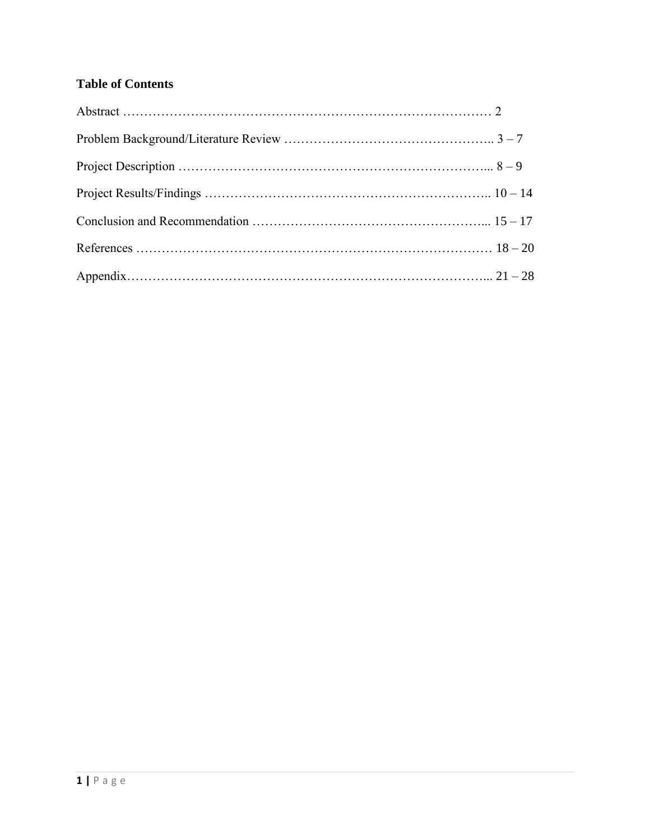# **Table of Contents**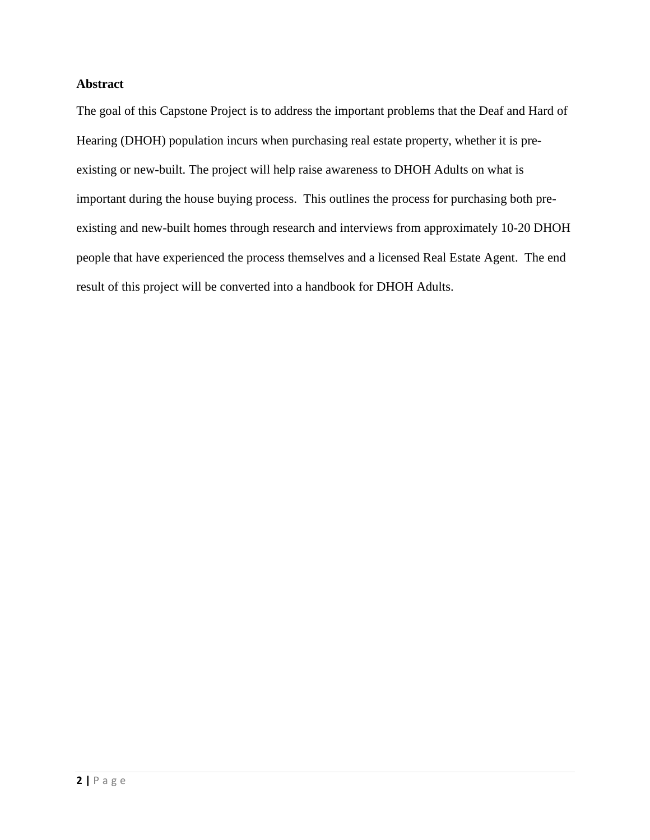## **Abstract**

The goal of this Capstone Project is to address the important problems that the Deaf and Hard of Hearing (DHOH) population incurs when purchasing real estate property, whether it is preexisting or new-built. The project will help raise awareness to DHOH Adults on what is important during the house buying process. This outlines the process for purchasing both preexisting and new-built homes through research and interviews from approximately 10-20 DHOH people that have experienced the process themselves and a licensed Real Estate Agent. The end result of this project will be converted into a handbook for DHOH Adults.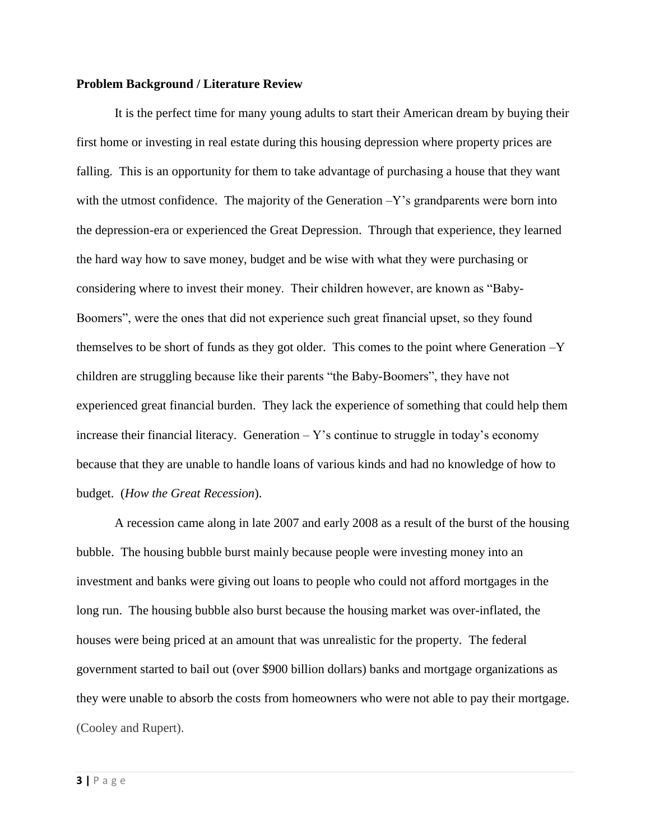#### **Problem Background / Literature Review**

It is the perfect time for many young adults to start their American dream by buying their first home or investing in real estate during this housing depression where property prices are falling. This is an opportunity for them to take advantage of purchasing a house that they want with the utmost confidence. The majority of the Generation  $-Y$ 's grandparents were born into the depression-era or experienced the Great Depression. Through that experience, they learned the hard way how to save money, budget and be wise with what they were purchasing or considering where to invest their money. Their children however, are known as "Baby-Boomers", were the ones that did not experience such great financial upset, so they found themselves to be short of funds as they got older. This comes to the point where Generation –Y children are struggling because like their parents "the Baby-Boomers", they have not experienced great financial burden. They lack the experience of something that could help them increase their financial literacy. Generation  $-$  Y's continue to struggle in today's economy because that they are unable to handle loans of various kinds and had no knowledge of how to budget. (*How the Great Recession*).

A recession came along in late 2007 and early 2008 as a result of the burst of the housing bubble. The housing bubble burst mainly because people were investing money into an investment and banks were giving out loans to people who could not afford mortgages in the long run. The housing bubble also burst because the housing market was over-inflated, the houses were being priced at an amount that was unrealistic for the property. The federal government started to bail out (over \$900 billion dollars) banks and mortgage organizations as they were unable to absorb the costs from homeowners who were not able to pay their mortgage. (Cooley and Rupert).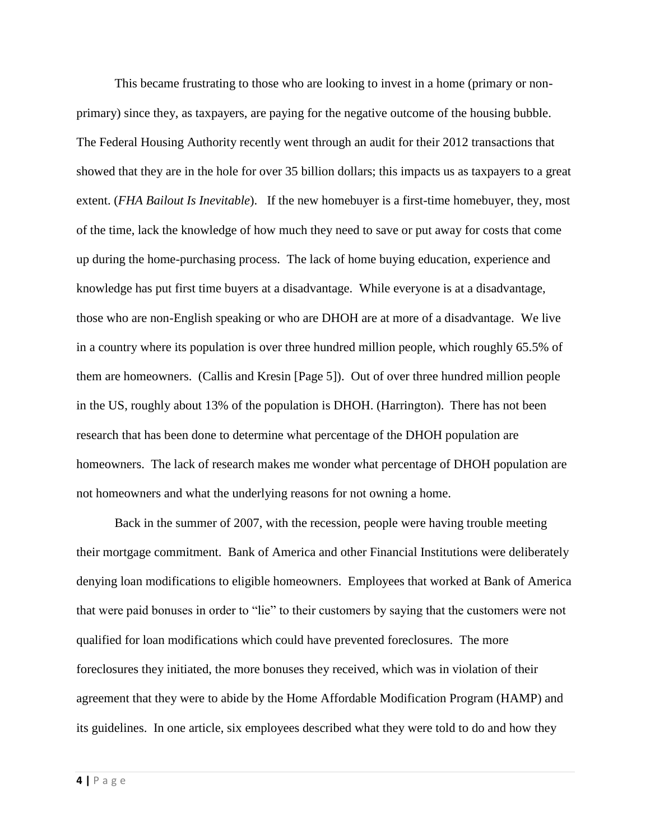This became frustrating to those who are looking to invest in a home (primary or nonprimary) since they, as taxpayers, are paying for the negative outcome of the housing bubble. The Federal Housing Authority recently went through an audit for their 2012 transactions that showed that they are in the hole for over 35 billion dollars; this impacts us as taxpayers to a great extent. (*FHA Bailout Is Inevitable*). If the new homebuyer is a first-time homebuyer, they, most of the time, lack the knowledge of how much they need to save or put away for costs that come up during the home-purchasing process. The lack of home buying education, experience and knowledge has put first time buyers at a disadvantage. While everyone is at a disadvantage, those who are non-English speaking or who are DHOH are at more of a disadvantage. We live in a country where its population is over three hundred million people, which roughly 65.5% of them are homeowners. (Callis and Kresin [Page 5]). Out of over three hundred million people in the US, roughly about 13% of the population is DHOH. (Harrington). There has not been research that has been done to determine what percentage of the DHOH population are homeowners. The lack of research makes me wonder what percentage of DHOH population are not homeowners and what the underlying reasons for not owning a home.

Back in the summer of 2007, with the recession, people were having trouble meeting their mortgage commitment. Bank of America and other Financial Institutions were deliberately denying loan modifications to eligible homeowners. Employees that worked at Bank of America that were paid bonuses in order to "lie" to their customers by saying that the customers were not qualified for loan modifications which could have prevented foreclosures. The more foreclosures they initiated, the more bonuses they received, which was in violation of their agreement that they were to abide by the Home Affordable Modification Program (HAMP) and its guidelines. In one article, six employees described what they were told to do and how they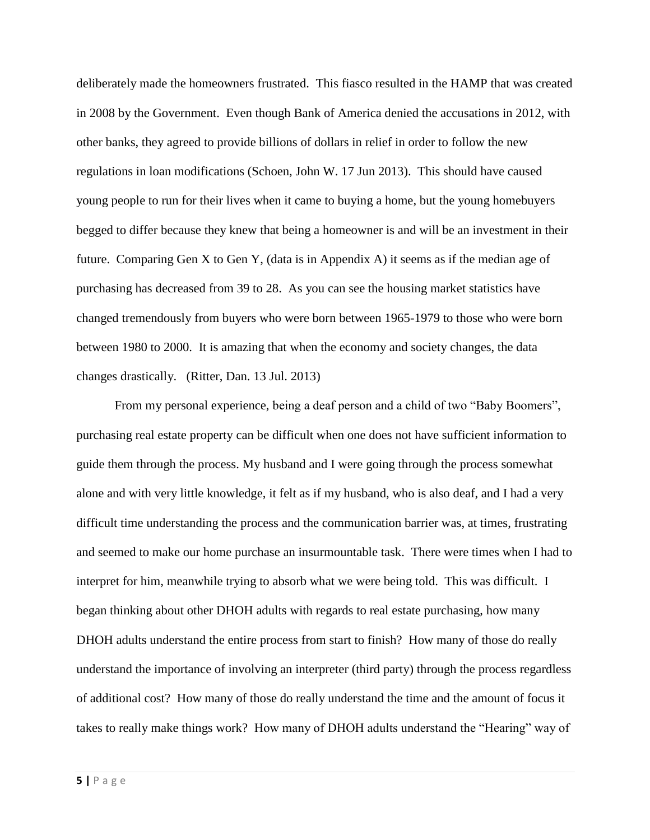deliberately made the homeowners frustrated. This fiasco resulted in the HAMP that was created in 2008 by the Government. Even though Bank of America denied the accusations in 2012, with other banks, they agreed to provide billions of dollars in relief in order to follow the new regulations in loan modifications (Schoen, John W. 17 Jun 2013). This should have caused young people to run for their lives when it came to buying a home, but the young homebuyers begged to differ because they knew that being a homeowner is and will be an investment in their future. Comparing Gen X to Gen Y, (data is in Appendix A) it seems as if the median age of purchasing has decreased from 39 to 28. As you can see the housing market statistics have changed tremendously from buyers who were born between 1965-1979 to those who were born between 1980 to 2000. It is amazing that when the economy and society changes, the data changes drastically. (Ritter, Dan. 13 Jul. 2013)

From my personal experience, being a deaf person and a child of two "Baby Boomers", purchasing real estate property can be difficult when one does not have sufficient information to guide them through the process. My husband and I were going through the process somewhat alone and with very little knowledge, it felt as if my husband, who is also deaf, and I had a very difficult time understanding the process and the communication barrier was, at times, frustrating and seemed to make our home purchase an insurmountable task. There were times when I had to interpret for him, meanwhile trying to absorb what we were being told. This was difficult. I began thinking about other DHOH adults with regards to real estate purchasing, how many DHOH adults understand the entire process from start to finish? How many of those do really understand the importance of involving an interpreter (third party) through the process regardless of additional cost? How many of those do really understand the time and the amount of focus it takes to really make things work? How many of DHOH adults understand the "Hearing" way of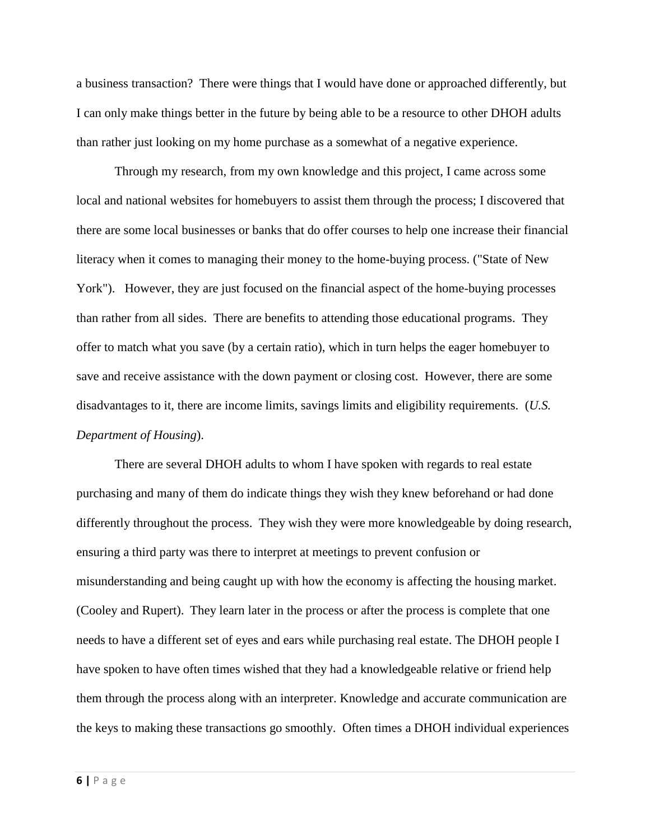a business transaction? There were things that I would have done or approached differently, but I can only make things better in the future by being able to be a resource to other DHOH adults than rather just looking on my home purchase as a somewhat of a negative experience.

Through my research, from my own knowledge and this project, I came across some local and national websites for homebuyers to assist them through the process; I discovered that there are some local businesses or banks that do offer courses to help one increase their financial literacy when it comes to managing their money to the home-buying process. ("State of New York"). However, they are just focused on the financial aspect of the home-buying processes than rather from all sides. There are benefits to attending those educational programs. They offer to match what you save (by a certain ratio), which in turn helps the eager homebuyer to save and receive assistance with the down payment or closing cost. However, there are some disadvantages to it, there are income limits, savings limits and eligibility requirements. (*U.S. Department of Housing*).

There are several DHOH adults to whom I have spoken with regards to real estate purchasing and many of them do indicate things they wish they knew beforehand or had done differently throughout the process. They wish they were more knowledgeable by doing research, ensuring a third party was there to interpret at meetings to prevent confusion or misunderstanding and being caught up with how the economy is affecting the housing market. (Cooley and Rupert). They learn later in the process or after the process is complete that one needs to have a different set of eyes and ears while purchasing real estate. The DHOH people I have spoken to have often times wished that they had a knowledgeable relative or friend help them through the process along with an interpreter. Knowledge and accurate communication are the keys to making these transactions go smoothly. Often times a DHOH individual experiences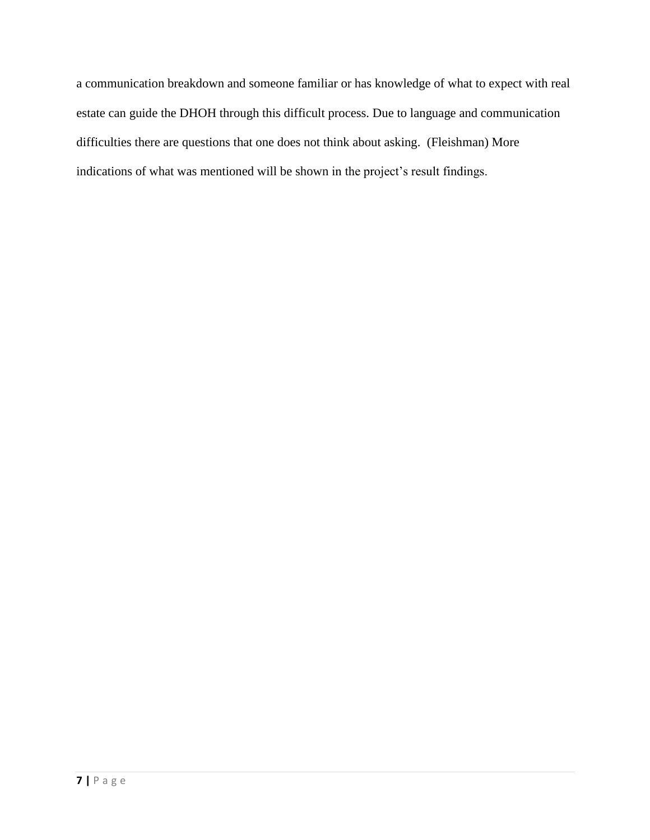a communication breakdown and someone familiar or has knowledge of what to expect with real estate can guide the DHOH through this difficult process. Due to language and communication difficulties there are questions that one does not think about asking. (Fleishman) More indications of what was mentioned will be shown in the project's result findings.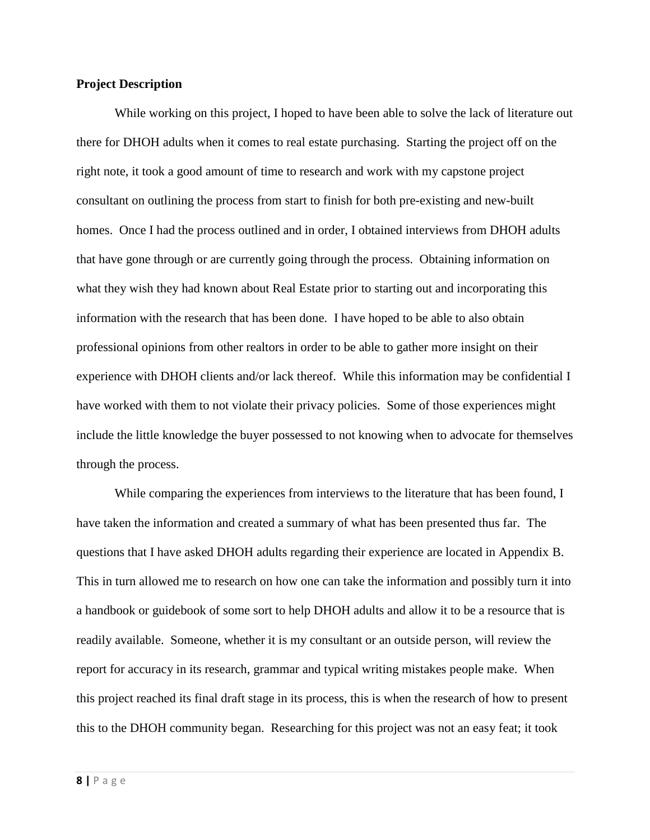#### **Project Description**

While working on this project, I hoped to have been able to solve the lack of literature out there for DHOH adults when it comes to real estate purchasing. Starting the project off on the right note, it took a good amount of time to research and work with my capstone project consultant on outlining the process from start to finish for both pre-existing and new-built homes. Once I had the process outlined and in order, I obtained interviews from DHOH adults that have gone through or are currently going through the process. Obtaining information on what they wish they had known about Real Estate prior to starting out and incorporating this information with the research that has been done. I have hoped to be able to also obtain professional opinions from other realtors in order to be able to gather more insight on their experience with DHOH clients and/or lack thereof. While this information may be confidential I have worked with them to not violate their privacy policies. Some of those experiences might include the little knowledge the buyer possessed to not knowing when to advocate for themselves through the process.

While comparing the experiences from interviews to the literature that has been found, I have taken the information and created a summary of what has been presented thus far. The questions that I have asked DHOH adults regarding their experience are located in Appendix B. This in turn allowed me to research on how one can take the information and possibly turn it into a handbook or guidebook of some sort to help DHOH adults and allow it to be a resource that is readily available. Someone, whether it is my consultant or an outside person, will review the report for accuracy in its research, grammar and typical writing mistakes people make. When this project reached its final draft stage in its process, this is when the research of how to present this to the DHOH community began. Researching for this project was not an easy feat; it took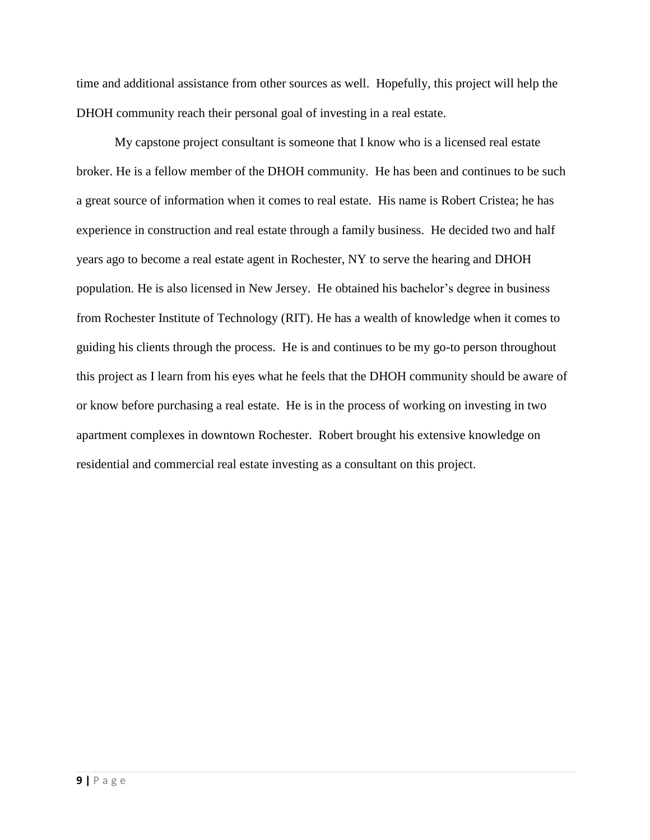time and additional assistance from other sources as well. Hopefully, this project will help the DHOH community reach their personal goal of investing in a real estate.

My capstone project consultant is someone that I know who is a licensed real estate broker. He is a fellow member of the DHOH community. He has been and continues to be such a great source of information when it comes to real estate. His name is Robert Cristea; he has experience in construction and real estate through a family business. He decided two and half years ago to become a real estate agent in Rochester, NY to serve the hearing and DHOH population. He is also licensed in New Jersey. He obtained his bachelor's degree in business from Rochester Institute of Technology (RIT). He has a wealth of knowledge when it comes to guiding his clients through the process. He is and continues to be my go-to person throughout this project as I learn from his eyes what he feels that the DHOH community should be aware of or know before purchasing a real estate. He is in the process of working on investing in two apartment complexes in downtown Rochester. Robert brought his extensive knowledge on residential and commercial real estate investing as a consultant on this project.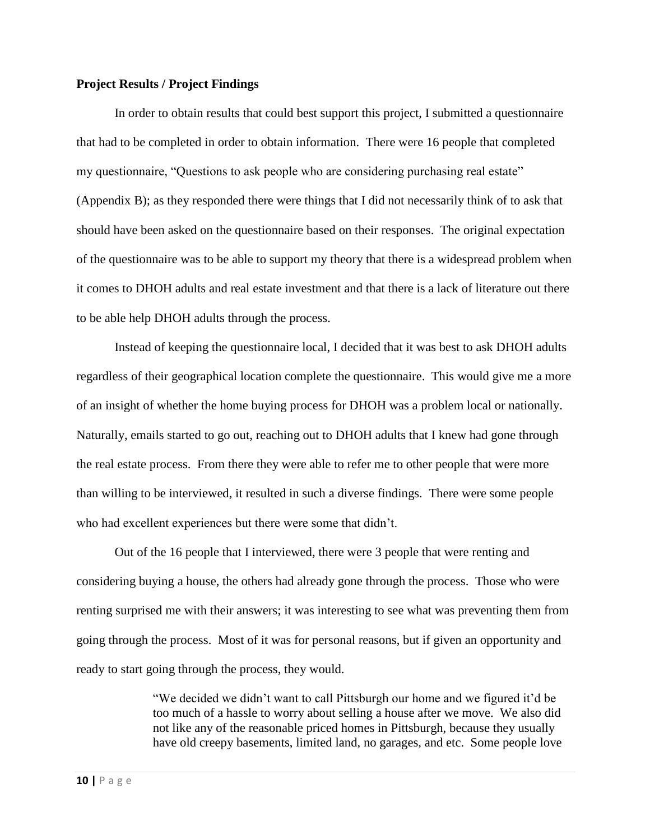#### **Project Results / Project Findings**

In order to obtain results that could best support this project, I submitted a questionnaire that had to be completed in order to obtain information. There were 16 people that completed my questionnaire, "Questions to ask people who are considering purchasing real estate" (Appendix B); as they responded there were things that I did not necessarily think of to ask that should have been asked on the questionnaire based on their responses. The original expectation of the questionnaire was to be able to support my theory that there is a widespread problem when it comes to DHOH adults and real estate investment and that there is a lack of literature out there to be able help DHOH adults through the process.

Instead of keeping the questionnaire local, I decided that it was best to ask DHOH adults regardless of their geographical location complete the questionnaire. This would give me a more of an insight of whether the home buying process for DHOH was a problem local or nationally. Naturally, emails started to go out, reaching out to DHOH adults that I knew had gone through the real estate process. From there they were able to refer me to other people that were more than willing to be interviewed, it resulted in such a diverse findings. There were some people who had excellent experiences but there were some that didn't.

Out of the 16 people that I interviewed, there were 3 people that were renting and considering buying a house, the others had already gone through the process. Those who were renting surprised me with their answers; it was interesting to see what was preventing them from going through the process. Most of it was for personal reasons, but if given an opportunity and ready to start going through the process, they would.

> "We decided we didn't want to call Pittsburgh our home and we figured it'd be too much of a hassle to worry about selling a house after we move. We also did not like any of the reasonable priced homes in Pittsburgh, because they usually have old creepy basements, limited land, no garages, and etc. Some people love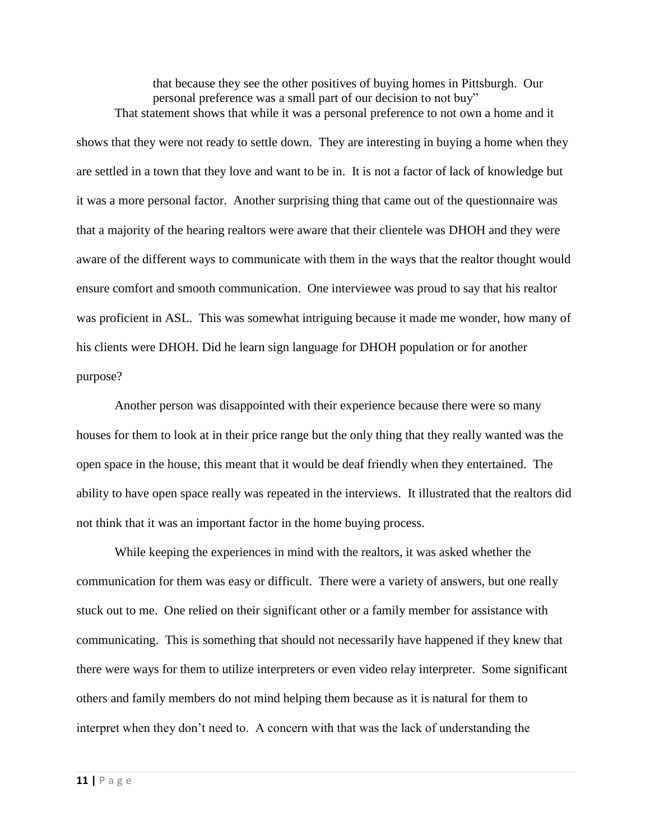that because they see the other positives of buying homes in Pittsburgh. Our personal preference was a small part of our decision to not buy" That statement shows that while it was a personal preference to not own a home and it

shows that they were not ready to settle down. They are interesting in buying a home when they are settled in a town that they love and want to be in. It is not a factor of lack of knowledge but it was a more personal factor. Another surprising thing that came out of the questionnaire was that a majority of the hearing realtors were aware that their clientele was DHOH and they were aware of the different ways to communicate with them in the ways that the realtor thought would ensure comfort and smooth communication. One interviewee was proud to say that his realtor was proficient in ASL. This was somewhat intriguing because it made me wonder, how many of his clients were DHOH. Did he learn sign language for DHOH population or for another purpose?

Another person was disappointed with their experience because there were so many houses for them to look at in their price range but the only thing that they really wanted was the open space in the house, this meant that it would be deaf friendly when they entertained. The ability to have open space really was repeated in the interviews. It illustrated that the realtors did not think that it was an important factor in the home buying process.

While keeping the experiences in mind with the realtors, it was asked whether the communication for them was easy or difficult. There were a variety of answers, but one really stuck out to me. One relied on their significant other or a family member for assistance with communicating. This is something that should not necessarily have happened if they knew that there were ways for them to utilize interpreters or even video relay interpreter. Some significant others and family members do not mind helping them because as it is natural for them to interpret when they don't need to. A concern with that was the lack of understanding the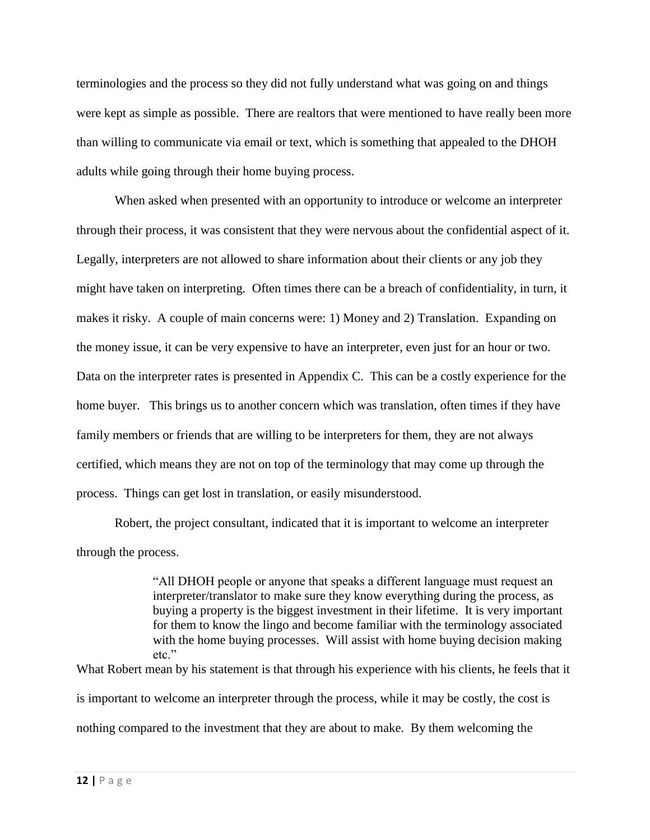terminologies and the process so they did not fully understand what was going on and things were kept as simple as possible. There are realtors that were mentioned to have really been more than willing to communicate via email or text, which is something that appealed to the DHOH adults while going through their home buying process.

When asked when presented with an opportunity to introduce or welcome an interpreter through their process, it was consistent that they were nervous about the confidential aspect of it. Legally, interpreters are not allowed to share information about their clients or any job they might have taken on interpreting. Often times there can be a breach of confidentiality, in turn, it makes it risky. A couple of main concerns were: 1) Money and 2) Translation. Expanding on the money issue, it can be very expensive to have an interpreter, even just for an hour or two. Data on the interpreter rates is presented in Appendix C. This can be a costly experience for the home buyer. This brings us to another concern which was translation, often times if they have family members or friends that are willing to be interpreters for them, they are not always certified, which means they are not on top of the terminology that may come up through the process. Things can get lost in translation, or easily misunderstood.

Robert, the project consultant, indicated that it is important to welcome an interpreter through the process.

> "All DHOH people or anyone that speaks a different language must request an interpreter/translator to make sure they know everything during the process, as buying a property is the biggest investment in their lifetime. It is very important for them to know the lingo and become familiar with the terminology associated with the home buying processes. Will assist with home buying decision making etc."

What Robert mean by his statement is that through his experience with his clients, he feels that it is important to welcome an interpreter through the process, while it may be costly, the cost is nothing compared to the investment that they are about to make. By them welcoming the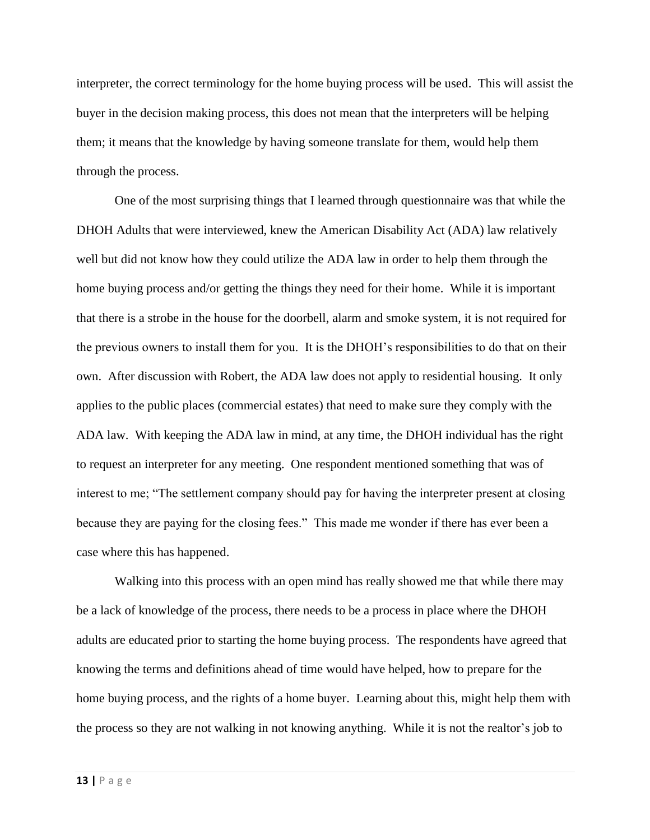interpreter, the correct terminology for the home buying process will be used. This will assist the buyer in the decision making process, this does not mean that the interpreters will be helping them; it means that the knowledge by having someone translate for them, would help them through the process.

One of the most surprising things that I learned through questionnaire was that while the DHOH Adults that were interviewed, knew the American Disability Act (ADA) law relatively well but did not know how they could utilize the ADA law in order to help them through the home buying process and/or getting the things they need for their home. While it is important that there is a strobe in the house for the doorbell, alarm and smoke system, it is not required for the previous owners to install them for you. It is the DHOH's responsibilities to do that on their own. After discussion with Robert, the ADA law does not apply to residential housing. It only applies to the public places (commercial estates) that need to make sure they comply with the ADA law. With keeping the ADA law in mind, at any time, the DHOH individual has the right to request an interpreter for any meeting. One respondent mentioned something that was of interest to me; "The settlement company should pay for having the interpreter present at closing because they are paying for the closing fees." This made me wonder if there has ever been a case where this has happened.

Walking into this process with an open mind has really showed me that while there may be a lack of knowledge of the process, there needs to be a process in place where the DHOH adults are educated prior to starting the home buying process. The respondents have agreed that knowing the terms and definitions ahead of time would have helped, how to prepare for the home buying process, and the rights of a home buyer. Learning about this, might help them with the process so they are not walking in not knowing anything. While it is not the realtor's job to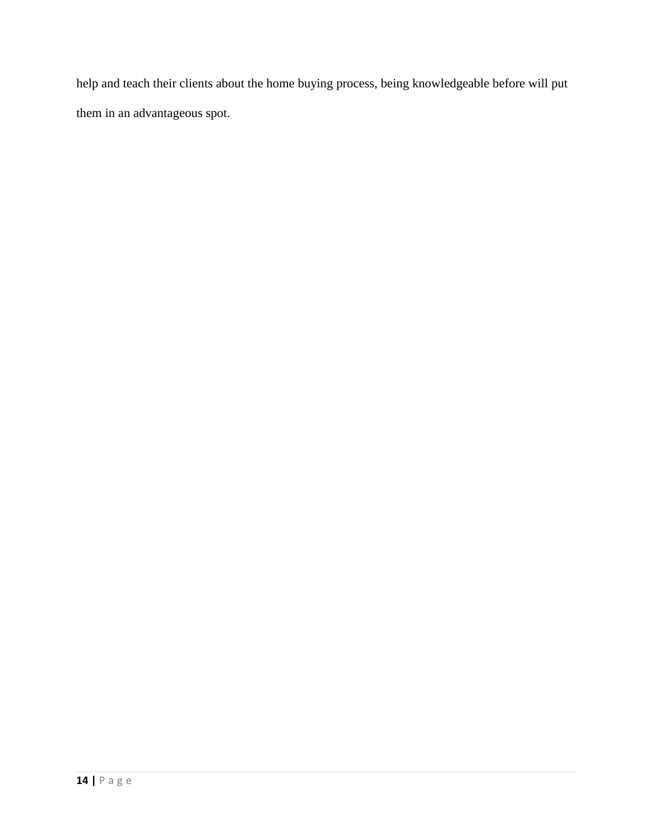help and teach their clients about the home buying process, being knowledgeable before will put them in an advantageous spot.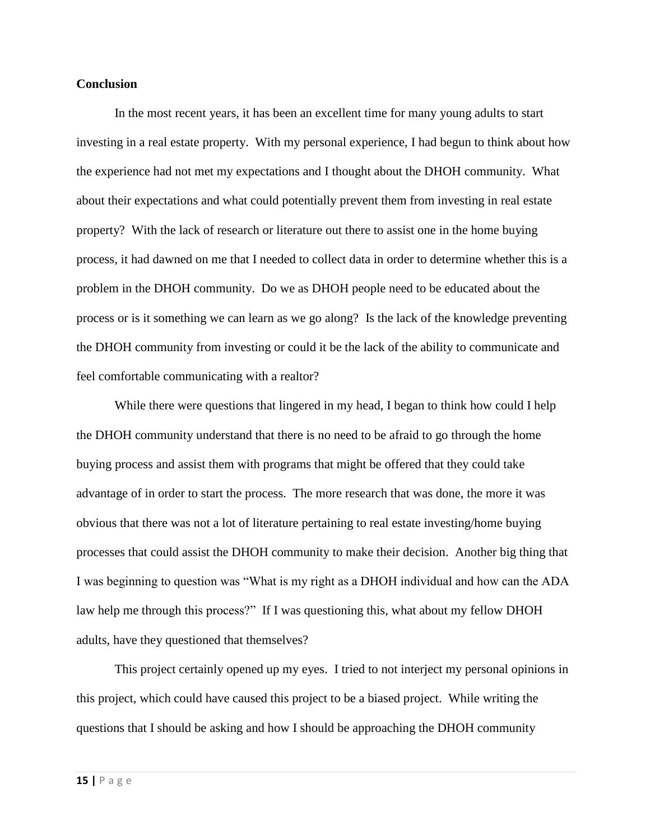#### **Conclusion**

In the most recent years, it has been an excellent time for many young adults to start investing in a real estate property. With my personal experience, I had begun to think about how the experience had not met my expectations and I thought about the DHOH community. What about their expectations and what could potentially prevent them from investing in real estate property? With the lack of research or literature out there to assist one in the home buying process, it had dawned on me that I needed to collect data in order to determine whether this is a problem in the DHOH community. Do we as DHOH people need to be educated about the process or is it something we can learn as we go along? Is the lack of the knowledge preventing the DHOH community from investing or could it be the lack of the ability to communicate and feel comfortable communicating with a realtor?

While there were questions that lingered in my head, I began to think how could I help the DHOH community understand that there is no need to be afraid to go through the home buying process and assist them with programs that might be offered that they could take advantage of in order to start the process. The more research that was done, the more it was obvious that there was not a lot of literature pertaining to real estate investing/home buying processes that could assist the DHOH community to make their decision. Another big thing that I was beginning to question was "What is my right as a DHOH individual and how can the ADA law help me through this process?" If I was questioning this, what about my fellow DHOH adults, have they questioned that themselves?

This project certainly opened up my eyes. I tried to not interject my personal opinions in this project, which could have caused this project to be a biased project. While writing the questions that I should be asking and how I should be approaching the DHOH community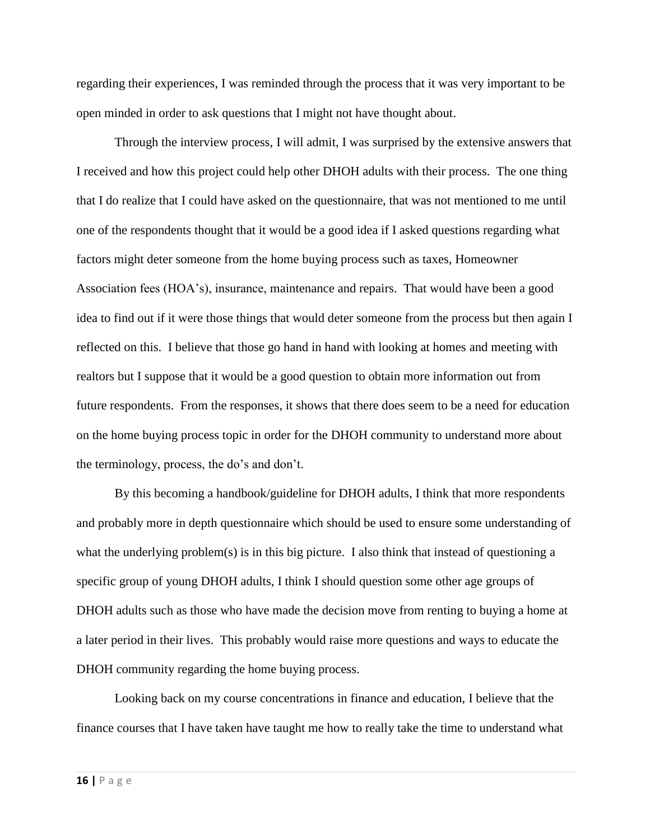regarding their experiences, I was reminded through the process that it was very important to be open minded in order to ask questions that I might not have thought about.

Through the interview process, I will admit, I was surprised by the extensive answers that I received and how this project could help other DHOH adults with their process. The one thing that I do realize that I could have asked on the questionnaire, that was not mentioned to me until one of the respondents thought that it would be a good idea if I asked questions regarding what factors might deter someone from the home buying process such as taxes, Homeowner Association fees (HOA's), insurance, maintenance and repairs. That would have been a good idea to find out if it were those things that would deter someone from the process but then again I reflected on this. I believe that those go hand in hand with looking at homes and meeting with realtors but I suppose that it would be a good question to obtain more information out from future respondents. From the responses, it shows that there does seem to be a need for education on the home buying process topic in order for the DHOH community to understand more about the terminology, process, the do's and don't.

By this becoming a handbook/guideline for DHOH adults, I think that more respondents and probably more in depth questionnaire which should be used to ensure some understanding of what the underlying problem(s) is in this big picture. I also think that instead of questioning a specific group of young DHOH adults, I think I should question some other age groups of DHOH adults such as those who have made the decision move from renting to buying a home at a later period in their lives. This probably would raise more questions and ways to educate the DHOH community regarding the home buying process.

Looking back on my course concentrations in finance and education, I believe that the finance courses that I have taken have taught me how to really take the time to understand what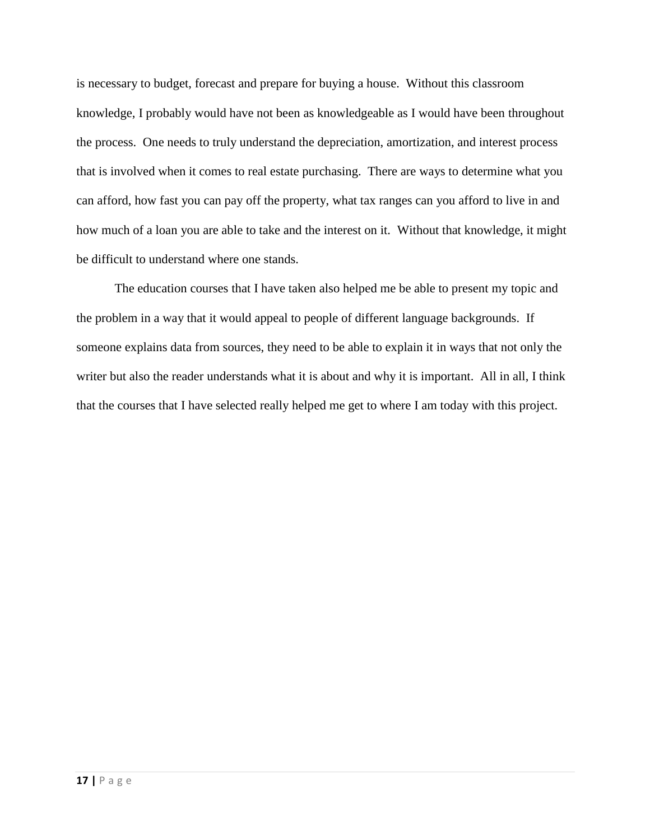is necessary to budget, forecast and prepare for buying a house. Without this classroom knowledge, I probably would have not been as knowledgeable as I would have been throughout the process. One needs to truly understand the depreciation, amortization, and interest process that is involved when it comes to real estate purchasing. There are ways to determine what you can afford, how fast you can pay off the property, what tax ranges can you afford to live in and how much of a loan you are able to take and the interest on it. Without that knowledge, it might be difficult to understand where one stands.

The education courses that I have taken also helped me be able to present my topic and the problem in a way that it would appeal to people of different language backgrounds. If someone explains data from sources, they need to be able to explain it in ways that not only the writer but also the reader understands what it is about and why it is important. All in all, I think that the courses that I have selected really helped me get to where I am today with this project.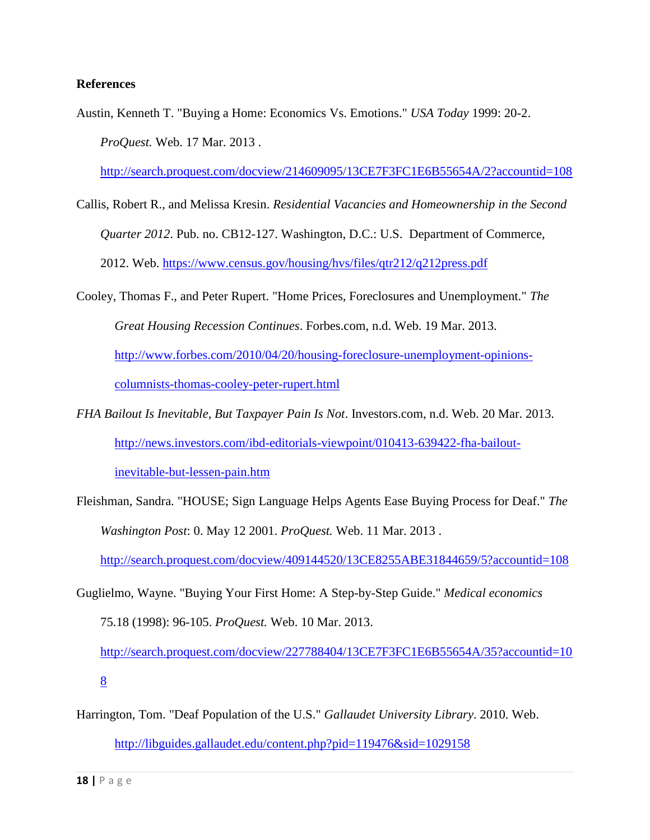#### **References**

Austin, Kenneth T. "Buying a Home: Economics Vs. Emotions." *USA Today* 1999: 20-2. *ProQuest.* Web. 17 Mar. 2013 .

<http://search.proquest.com/docview/214609095/13CE7F3FC1E6B55654A/2?accountid=108>

- Callis, Robert R., and Melissa Kresin. *Residential Vacancies and Homeownership in the Second Quarter 2012*. Pub. no. CB12-127. Washington, D.C.: U.S. Department of Commerce, 2012. Web.<https://www.census.gov/housing/hvs/files/qtr212/q212press.pdf>
- Cooley, Thomas F., and Peter Rupert. "Home Prices, Foreclosures and Unemployment." *The Great Housing Recession Continues*. Forbes.com, n.d. Web. 19 Mar. 2013. [http://www.forbes.com/2010/04/20/housing-foreclosure-unemployment-opinions](http://www.forbes.com/2010/04/20/housing-foreclosure-unemployment-opinions-columnists-thomas-cooley-peter-rupert.html)[columnists-thomas-cooley-peter-rupert.html](http://www.forbes.com/2010/04/20/housing-foreclosure-unemployment-opinions-columnists-thomas-cooley-peter-rupert.html)
- *FHA Bailout Is Inevitable, But Taxpayer Pain Is Not*. Investors.com, n.d. Web. 20 Mar. 2013. [http://news.investors.com/ibd-editorials-viewpoint/010413-639422-fha-bailout](http://news.investors.com/ibd-editorials-viewpoint/010413-639422-fha-bailout-inevitable-but-lessen-pain.htm)[inevitable-but-lessen-pain.htm](http://news.investors.com/ibd-editorials-viewpoint/010413-639422-fha-bailout-inevitable-but-lessen-pain.htm)

Fleishman, Sandra. "HOUSE; Sign Language Helps Agents Ease Buying Process for Deaf." *The Washington Post*: 0. May 12 2001. *ProQuest.* Web. 11 Mar. 2013 .

<http://search.proquest.com/docview/409144520/13CE8255ABE31844659/5?accountid=108>

Guglielmo, Wayne. "Buying Your First Home: A Step-by-Step Guide." *Medical economics* 75.18 (1998): 96-105. *ProQuest.* Web. 10 Mar. 2013. [http://search.proquest.com/docview/227788404/13CE7F3FC1E6B55654A/35?accountid=10](http://search.proquest.com/docview/227788404/13CE7F3FC1E6B55654A/35?accountid=108) [8](http://search.proquest.com/docview/227788404/13CE7F3FC1E6B55654A/35?accountid=108)

Harrington, Tom. "Deaf Population of the U.S." *Gallaudet University Library*. 2010. Web. <http://libguides.gallaudet.edu/content.php?pid=119476&sid=1029158>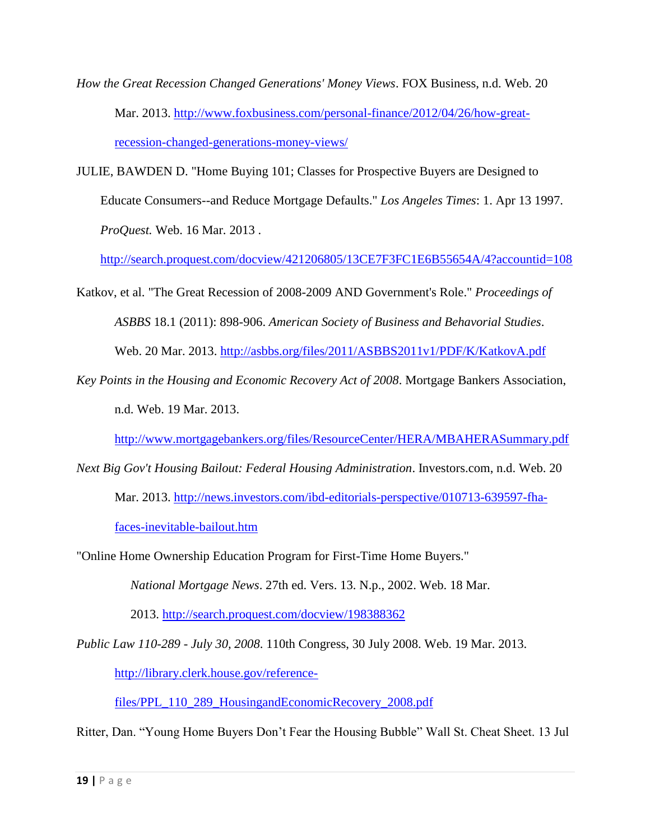- *How the Great Recession Changed Generations' Money Views*. FOX Business, n.d. Web. 20 Mar. 2013. [http://www.foxbusiness.com/personal-finance/2012/04/26/how-great](http://www.foxbusiness.com/personal-finance/2012/04/26/how-great-recession-changed-generations-money-views/)[recession-changed-generations-money-views/](http://www.foxbusiness.com/personal-finance/2012/04/26/how-great-recession-changed-generations-money-views/)
- JULIE, BAWDEN D. "Home Buying 101; Classes for Prospective Buyers are Designed to Educate Consumers--and Reduce Mortgage Defaults." *Los Angeles Times*: 1. Apr 13 1997. *ProQuest.* Web. 16 Mar. 2013 .

<http://search.proquest.com/docview/421206805/13CE7F3FC1E6B55654A/4?accountid=108>

- Katkov, et al. "The Great Recession of 2008-2009 AND Government's Role." *Proceedings of ASBBS* 18.1 (2011): 898-906. *American Society of Business and Behavorial Studies*. Web. 20 Mar. 2013.<http://asbbs.org/files/2011/ASBBS2011v1/PDF/K/KatkovA.pdf>
- *Key Points in the Housing and Economic Recovery Act of 2008*. Mortgage Bankers Association, n.d. Web. 19 Mar. 2013.

<http://www.mortgagebankers.org/files/ResourceCenter/HERA/MBAHERASummary.pdf>

- *Next Big Gov't Housing Bailout: Federal Housing Administration*. Investors.com, n.d. Web. 20 Mar. 2013. [http://news.investors.com/ibd-editorials-perspective/010713-639597-fha](http://news.investors.com/ibd-editorials-perspective/010713-639597-fha-faces-inevitable-bailout.htm)[faces-inevitable-bailout.htm](http://news.investors.com/ibd-editorials-perspective/010713-639597-fha-faces-inevitable-bailout.htm)
- "Online Home Ownership Education Program for First-Time Home Buyers."

*National Mortgage News*. 27th ed. Vers. 13. N.p., 2002. Web. 18 Mar.

2013.<http://search.proquest.com/docview/198388362>

*Public Law 110-289 - July 30, 2008*. 110th Congress, 30 July 2008. Web. 19 Mar. 2013.

[http://library.clerk.house.gov/reference-](http://library.clerk.house.gov/reference-files/PPL_110_289_HousingandEconomicRecovery_2008.pdf)

[files/PPL\\_110\\_289\\_HousingandEconomicRecovery\\_2008.pdf](http://library.clerk.house.gov/reference-files/PPL_110_289_HousingandEconomicRecovery_2008.pdf)

Ritter, Dan. "Young Home Buyers Don't Fear the Housing Bubble" Wall St. Cheat Sheet. 13 Jul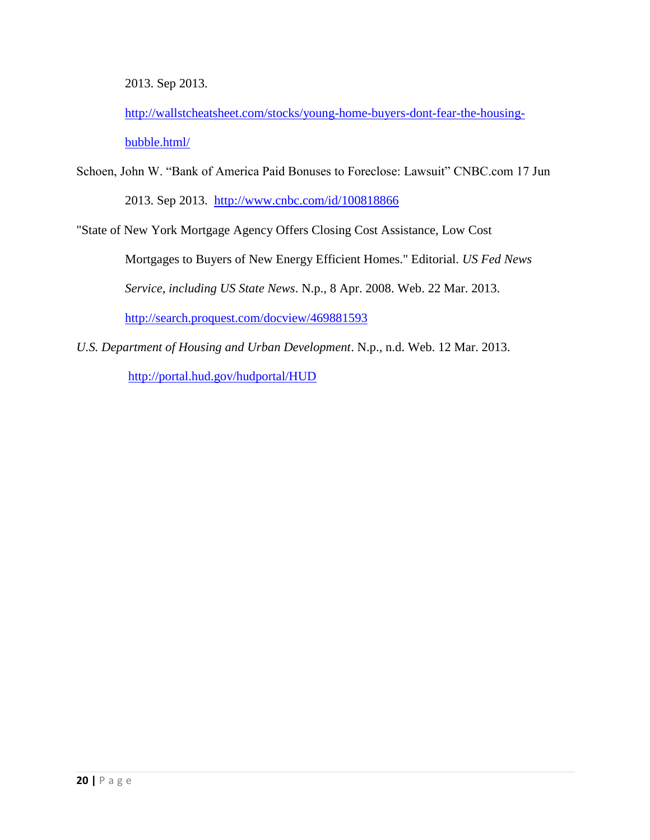2013. Sep 2013.

[http://wallstcheatsheet.com/stocks/young-home-buyers-dont-fear-the-housing](http://wallstcheatsheet.com/stocks/young-home-buyers-dont-fear-the-housing-bubble.html/)[bubble.html/](http://wallstcheatsheet.com/stocks/young-home-buyers-dont-fear-the-housing-bubble.html/)

Schoen, John W. "Bank of America Paid Bonuses to Foreclose: Lawsuit" CNBC.com 17 Jun 2013. Sep 2013. <http://www.cnbc.com/id/100818866>

"State of New York Mortgage Agency Offers Closing Cost Assistance, Low Cost

 Mortgages to Buyers of New Energy Efficient Homes." Editorial. *US Fed News Service, including US State News*. N.p., 8 Apr. 2008. Web. 22 Mar. 2013. <http://search.proquest.com/docview/469881593>

*U.S. Department of Housing and Urban Development*. N.p., n.d. Web. 12 Mar. 2013. <http://portal.hud.gov/hudportal/HUD>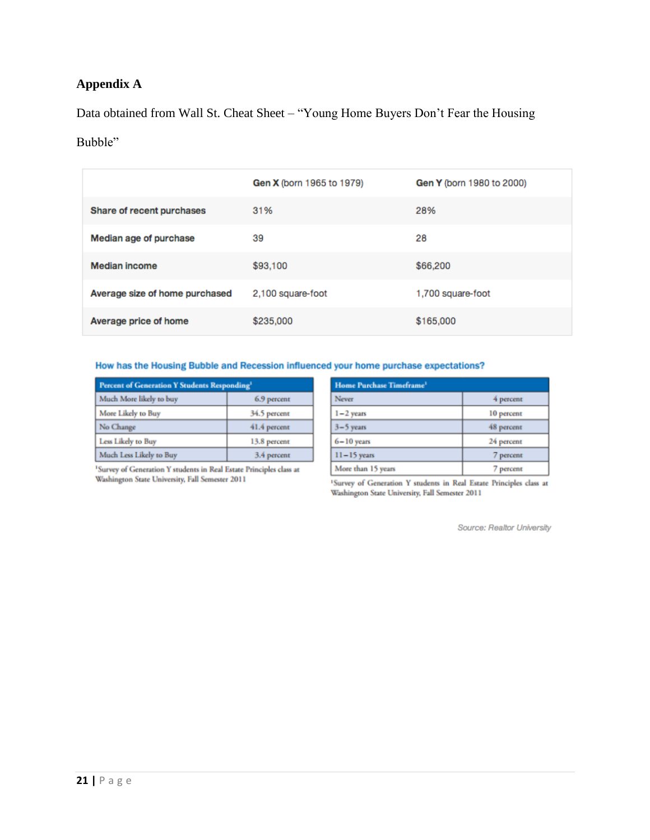# **Appendix A**

Data obtained from Wall St. Cheat Sheet – "Young Home Buyers Don't Fear the Housing

# Bubble"

|                                | Gen X (born 1965 to 1979) | Gen Y (born 1980 to 2000) |
|--------------------------------|---------------------------|---------------------------|
| Share of recent purchases      | 31%                       | 28%                       |
| Median age of purchase         | 39                        | 28                        |
| <b>Median income</b>           | \$93,100                  | \$66,200                  |
| Average size of home purchased | 2,100 square-foot         | 1,700 square-foot         |
| Average price of home          | \$235,000                 | \$165,000                 |

#### How has the Housing Bubble and Recession influenced your home purchase expectations?

| Percent of Generation Y Students Responding <sup>1</sup> |              |  |
|----------------------------------------------------------|--------------|--|
| Much More likely to buy                                  | 6.9 percent  |  |
| More Likely to Buy                                       | 34.5 percent |  |
| No Change                                                | 41.4 percent |  |
| Less Likely to Buy                                       | 13.8 percent |  |
| Much Less Likely to Buy                                  | 3.4 percent  |  |

|                                                 | <sup>1</sup> Survey of Generation Y students in Real Estate Principles class at |  |
|-------------------------------------------------|---------------------------------------------------------------------------------|--|
| Washington State University, Fall Semester 2011 |                                                                                 |  |

| <b>Home Purchase Timeframe</b> <sup>1</sup> |            |  |
|---------------------------------------------|------------|--|
| Never                                       | 4 percent  |  |
| $1 - 2$ years                               | 10 percent |  |
| $3-5$ years                                 | 48 percent |  |
| $6 - 10$ years                              | 24 percent |  |
| $11-15$ years                               | 7 percent  |  |
| More than 15 years                          | 7 percent  |  |

 $^1\rm{S}$ urvey of Generation Y students in Real Estate Principles class at Washington State University, Fall Semester 2011

Source: Realtor University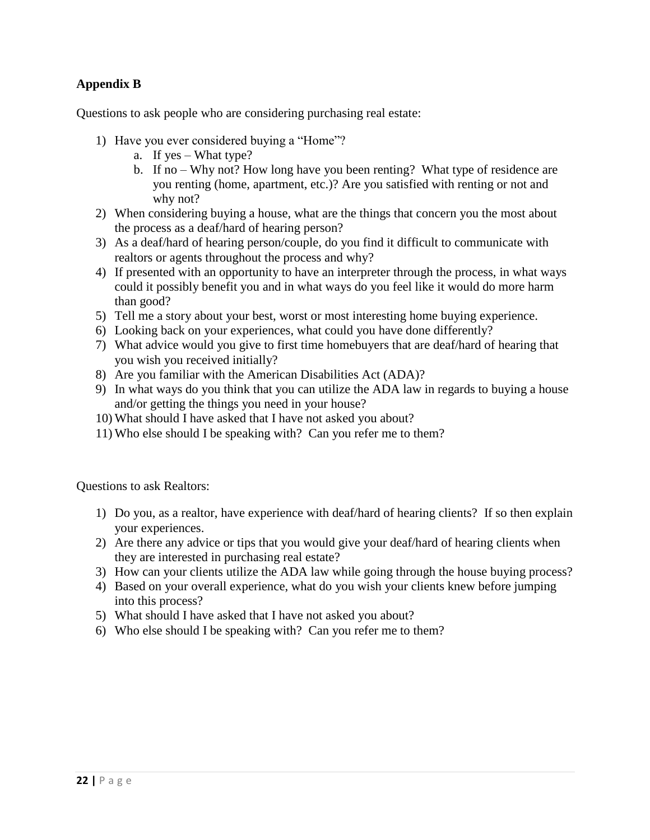## **Appendix B**

Questions to ask people who are considering purchasing real estate:

- 1) Have you ever considered buying a "Home"?
	- a. If yes What type?
	- b. If no Why not? How long have you been renting? What type of residence are you renting (home, apartment, etc.)? Are you satisfied with renting or not and why not?
- 2) When considering buying a house, what are the things that concern you the most about the process as a deaf/hard of hearing person?
- 3) As a deaf/hard of hearing person/couple, do you find it difficult to communicate with realtors or agents throughout the process and why?
- 4) If presented with an opportunity to have an interpreter through the process, in what ways could it possibly benefit you and in what ways do you feel like it would do more harm than good?
- 5) Tell me a story about your best, worst or most interesting home buying experience.
- 6) Looking back on your experiences, what could you have done differently?
- 7) What advice would you give to first time homebuyers that are deaf/hard of hearing that you wish you received initially?
- 8) Are you familiar with the American Disabilities Act (ADA)?
- 9) In what ways do you think that you can utilize the ADA law in regards to buying a house and/or getting the things you need in your house?
- 10) What should I have asked that I have not asked you about?
- 11) Who else should I be speaking with? Can you refer me to them?

Questions to ask Realtors:

- 1) Do you, as a realtor, have experience with deaf/hard of hearing clients? If so then explain your experiences.
- 2) Are there any advice or tips that you would give your deaf/hard of hearing clients when they are interested in purchasing real estate?
- 3) How can your clients utilize the ADA law while going through the house buying process?
- 4) Based on your overall experience, what do you wish your clients knew before jumping into this process?
- 5) What should I have asked that I have not asked you about?
- 6) Who else should I be speaking with? Can you refer me to them?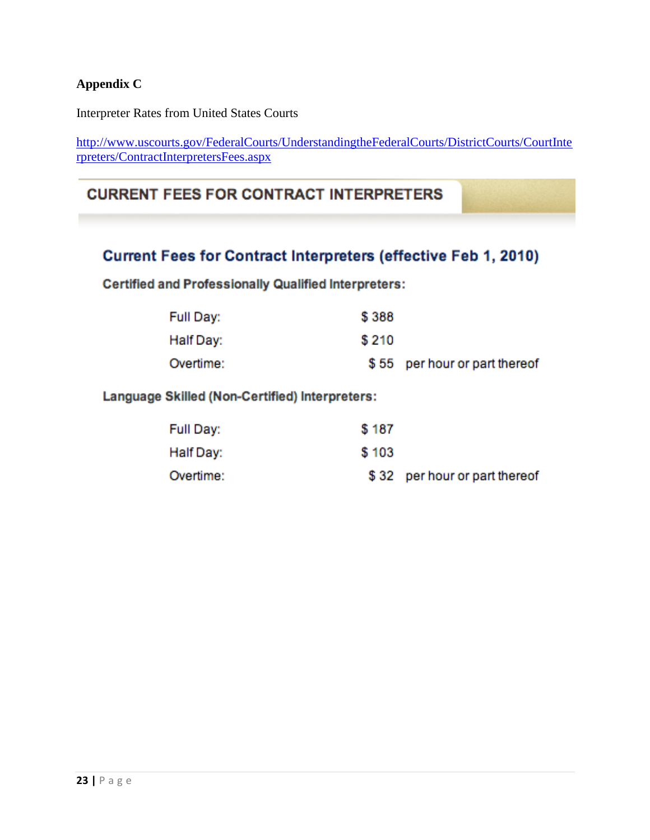## **Appendix C**

Interpreter Rates from United States Courts

[http://www.uscourts.gov/FederalCourts/UnderstandingtheFederalCourts/DistrictCourts/CourtInte](http://www.uscourts.gov/FederalCourts/UnderstandingtheFederalCourts/DistrictCourts/CourtInterpreters/ContractInterpretersFees.aspx) [rpreters/ContractInterpretersFees.aspx](http://www.uscourts.gov/FederalCourts/UnderstandingtheFederalCourts/DistrictCourts/CourtInterpreters/ContractInterpretersFees.aspx)

# **CURRENT FEES FOR CONTRACT INTERPRETERS**

# Current Fees for Contract Interpreters (effective Feb 1, 2010)

**Certified and Professionally Qualified Interpreters:** 

| Full Day: | \$388 |                               |
|-----------|-------|-------------------------------|
| Half Day: | \$210 |                               |
| Overtime: |       | \$55 per hour or part thereof |

# Language Skilled (Non-Certified) Interpreters:

| Full Day: | \$187 |                               |
|-----------|-------|-------------------------------|
| Half Day: | \$103 |                               |
| Overtime: |       | \$32 per hour or part thereof |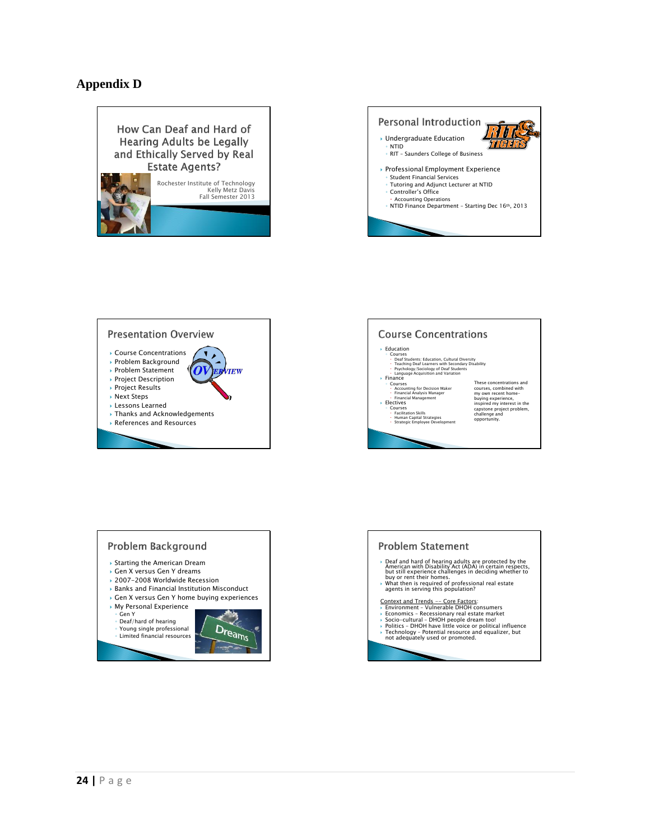#### **Appendix D**











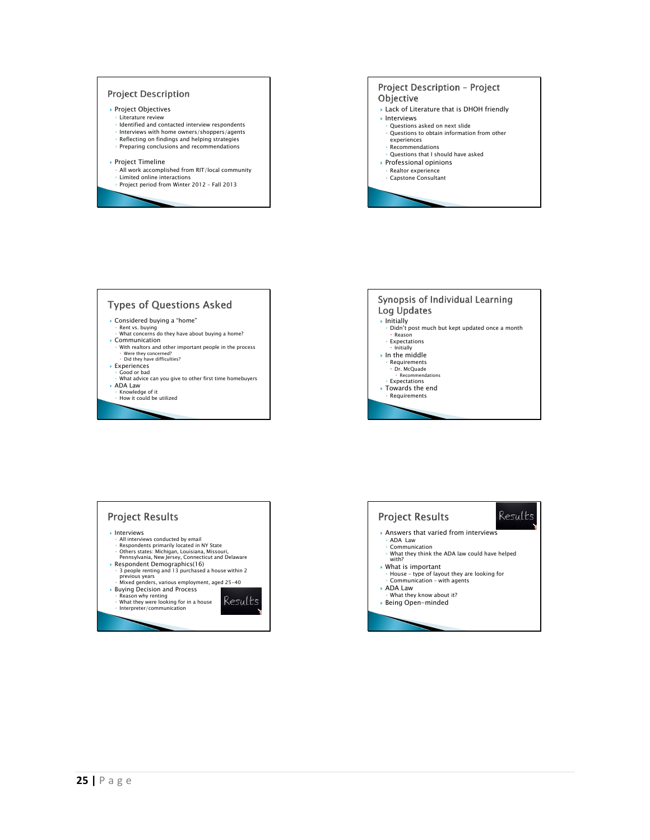





Results

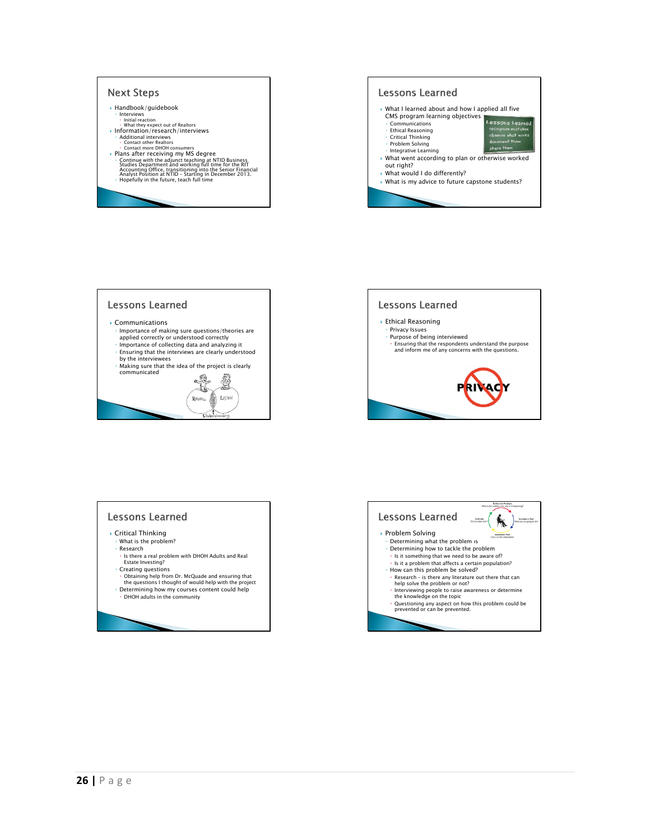





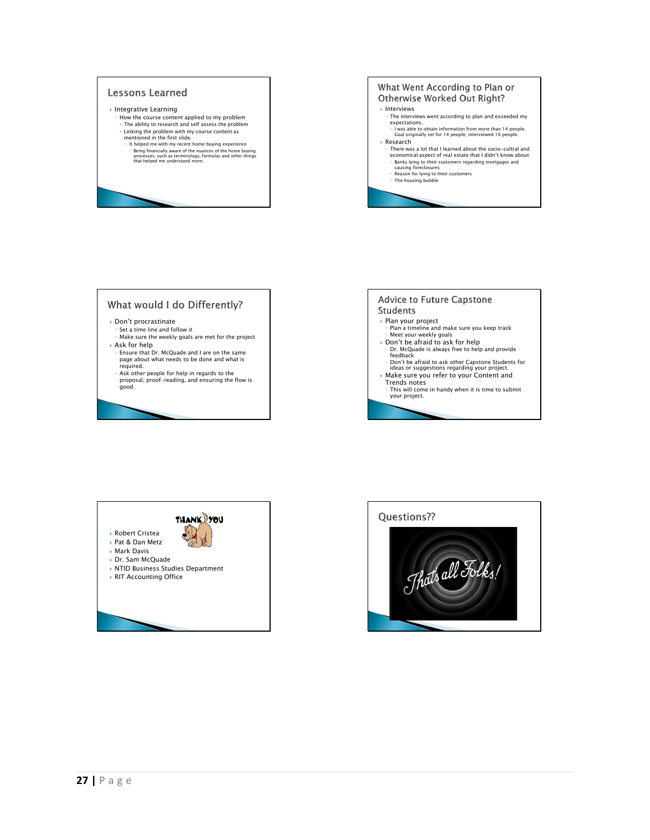